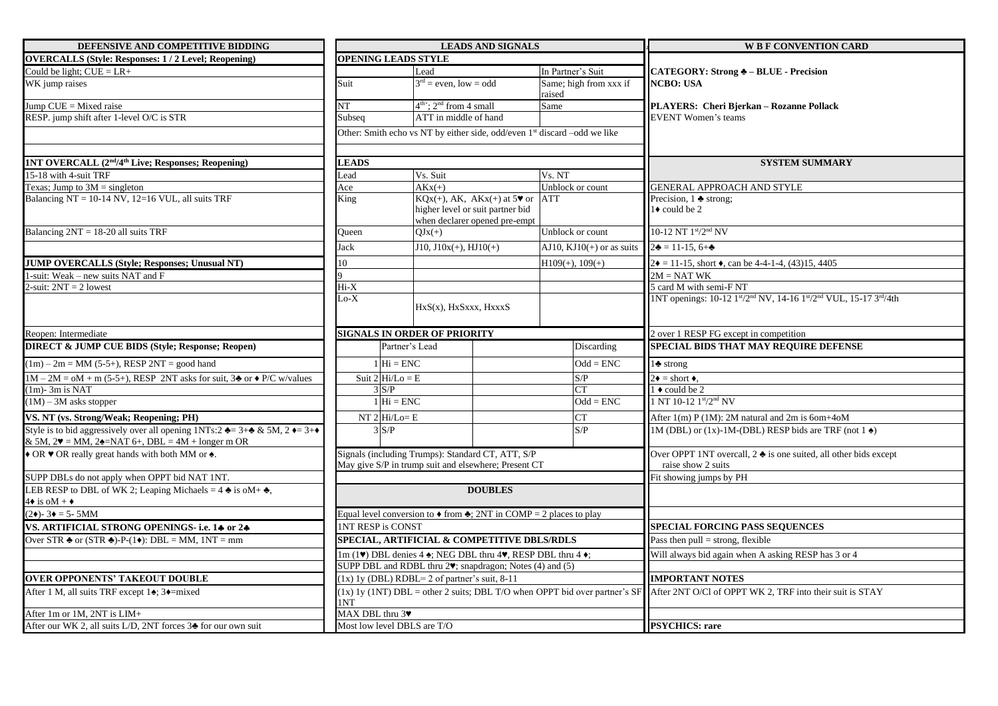| DEFENSIVE AND COMPETITIVE BIDDING                                                                                                                                                                              |                |                                                  | <b>LEADS AND SIGNALS</b>                                                                                                           |                                  | <b>W B F CONVENTION CARD</b>                                                                                                        |
|----------------------------------------------------------------------------------------------------------------------------------------------------------------------------------------------------------------|----------------|--------------------------------------------------|------------------------------------------------------------------------------------------------------------------------------------|----------------------------------|-------------------------------------------------------------------------------------------------------------------------------------|
| <b>OVERCALLS (Style: Responses: 1/2 Level; Reopening)</b>                                                                                                                                                      |                | <b>OPENING LEADS STYLE</b>                       |                                                                                                                                    |                                  |                                                                                                                                     |
| Could be light; $CUE = LR +$                                                                                                                                                                                   |                |                                                  | Lead                                                                                                                               | In Partner's Suit                | <b>CATEGORY: Strong &amp; - BLUE - Precision</b>                                                                                    |
| WK jump raises                                                                                                                                                                                                 | Suit           |                                                  | $3rd$ = even, low = odd                                                                                                            | Same; high from xxx if<br>raised | <b>NCBO: USA</b>                                                                                                                    |
| Jump $CUE = Mixed$ raise                                                                                                                                                                                       | NT             |                                                  | $4th$ ; $2nd$ from 4 small                                                                                                         | Same                             | PLAYERS: Cheri Bjerkan - Rozanne Pollack                                                                                            |
| RESP. jump shift after 1-level O/C is STR                                                                                                                                                                      | Subseq         |                                                  | ATT in middle of hand                                                                                                              |                                  | <b>EVENT Women's teams</b>                                                                                                          |
|                                                                                                                                                                                                                |                |                                                  | Other: Smith echo vs NT by either side, odd/even 1 <sup>st</sup> discard -odd we like                                              |                                  |                                                                                                                                     |
| 1NT OVERCALL (2 <sup>nd</sup> /4 <sup>th</sup> Live; Responses; Reopening)                                                                                                                                     | <b>LEADS</b>   |                                                  |                                                                                                                                    |                                  | <b>SYSTEM SUMMARY</b>                                                                                                               |
| 15-18 with 4-suit TRF                                                                                                                                                                                          | Lead           |                                                  | Vs. Suit                                                                                                                           | Vs. NT                           |                                                                                                                                     |
| Texas; Jump to $3M =$ singleton                                                                                                                                                                                | Ace            |                                                  | $AKx(+)$                                                                                                                           | Unblock or count                 | <b>GENERAL APPROACH AND STYLE</b>                                                                                                   |
| Balancing NT = $10-14$ NV, $12=16$ VUL, all suits TRF                                                                                                                                                          | King           |                                                  | $KQx(+)$ , AK, AK $x(+)$ at 5 <sup>*</sup> or ATT<br>higher level or suit partner bid<br>when declarer opened pre-empt             |                                  | Precision, $1 \triangleq$ strong;<br>$1\bullet$ could be 2                                                                          |
| Balancing 2NT = 18-20 all suits TRF                                                                                                                                                                            | Queen          |                                                  | $QJx(+)$                                                                                                                           | Unblock or count                 | 10-12 NT 1st/2nd NV                                                                                                                 |
|                                                                                                                                                                                                                | Jack           |                                                  | $J10, J10x(+), HJ10(+)$                                                                                                            | AJ10, $KJ10(+)$ or as suits      | $2\bullet = 11 - 15$ , 6+ $\bullet$                                                                                                 |
| <b>JUMP OVERCALLS (Style; Responses; Unusual NT)</b>                                                                                                                                                           | 10             |                                                  |                                                                                                                                    | $H109(+), 109(+)$                | $2\bullet = 11-15$ , short $\bullet$ , can be 4-4-1-4, (43)15, 4405                                                                 |
| 1-suit: Weak - new suits NAT and F                                                                                                                                                                             |                |                                                  |                                                                                                                                    |                                  | $2M = NATWK$                                                                                                                        |
| 2-suit: $2NT = 2$ lowest                                                                                                                                                                                       | Hi-X           |                                                  |                                                                                                                                    |                                  | 5 card M with semi-F NT                                                                                                             |
|                                                                                                                                                                                                                | $Lo-X$         |                                                  | HxS(x), HxSxxx, HxxxS                                                                                                              |                                  | 1NT openings: 10-12 1st/2 <sup>nd</sup> NV, 14-16 1st/2 <sup>nd</sup> VUL, 15-17 3rd/4th                                            |
| Reopen: Intermediate                                                                                                                                                                                           |                |                                                  | <b>SIGNALS IN ORDER OF PRIORITY</b>                                                                                                |                                  | 2 over 1 RESP FG except in competition                                                                                              |
| <b>DIRECT &amp; JUMP CUE BIDS (Style; Response; Reopen)</b>                                                                                                                                                    |                | Partner's Lead                                   |                                                                                                                                    | Discarding                       | SPECIAL BIDS THAT MAY REQUIRE DEFENSE                                                                                               |
| $(1m) - 2m = MM$ (5-5+), RESP 2NT = good hand                                                                                                                                                                  |                | $1$ Hi = ENC                                     |                                                                                                                                    | $Odd = ENC$                      | $1\clubsuit$ strong                                                                                                                 |
| $1M - 2M = oM + m (5-5+)$ , RESP 2NT asks for suit, 3 $\triangleq$ or $\triangleq P/C$ w/values                                                                                                                |                | Suit $2 \vert Hi/Lo = E$                         |                                                                                                                                    | S/P                              | $2\bullet =$ short $\bullet$ .                                                                                                      |
| $(1m)$ - 3m is NAT                                                                                                                                                                                             |                | $3 \text{ } S/P$                                 |                                                                                                                                    | <b>CT</b>                        | $1 \cdot \text{could be } 2$                                                                                                        |
| $(1M) - 3M$ asks stopper                                                                                                                                                                                       |                | $1 \overline{\text{Hi}} = \overline{\text{ENC}}$ |                                                                                                                                    | $Odd = ENC$                      | 1 NT 10-12 1st/2nd NV                                                                                                               |
| VS. NT (vs. Strong/Weak; Reopening; PH)                                                                                                                                                                        |                | NT $2$ Hi/Lo= E                                  |                                                                                                                                    | <b>CT</b>                        | After $1(m)$ P (1M): 2M natural and 2m is 6om+4oM                                                                                   |
| Style is to bid aggressively over all opening $1NTs:2 \triangleq 3 + \triangleq 8$ 5M, $2 \triangleq 3 + \triangleq 6$<br>& 5M, $2\blacktriangledown$ = MM, $2\blacktriangle$ = NAT 6+, DBL = 4M + longer m OR |                | 3 S/P                                            |                                                                                                                                    | S/P                              | 1M (DBL) or (1x)-1M-(DBL) RESP bids are TRF (not $1\blacktriangleleft$ )                                                            |
| • OR • OR really great hands with both MM or $\triangle$ .                                                                                                                                                     |                |                                                  | Signals (including Trumps): Standard CT, ATT, S/P<br>May give S/P in trump suit and elsewhere; Present CT                          |                                  | Over OPPT 1NT overcall, $2 \triangleq$ is one suited, all other bids except<br>raise show 2 suits                                   |
| SUPP DBLs do not apply when OPPT bid NAT 1NT.                                                                                                                                                                  |                |                                                  |                                                                                                                                    |                                  | Fit showing jumps by PH                                                                                                             |
| LEB RESP to DBL of WK 2; Leaping Michaels = $4 \triangleq$ is oM+ $\triangleq$ ,<br>$4\bullet$ is oM + $\bullet$                                                                                               |                |                                                  | <b>DOUBLES</b>                                                                                                                     |                                  |                                                                                                                                     |
| $(2\bullet)$ - 3 $\bullet$ = 5-5MM                                                                                                                                                                             |                |                                                  | Equal level conversion to $\triangle$ from $\triangle$ ; 2NT in COMP = 2 places to play                                            |                                  |                                                                                                                                     |
| VS. ARTIFICIAL STRONG OPENINGS- i.e. 14 or 24                                                                                                                                                                  |                | <b>INT RESP is CONST</b>                         |                                                                                                                                    |                                  | <b>SPECIAL FORCING PASS SEQUENCES</b>                                                                                               |
| Over STR $\triangleq$ or (STR $\triangleq$ )-P-(1 $\triangleq$ ): DBL = MM, 1NT = mm                                                                                                                           |                |                                                  | SPECIAL, ARTIFICIAL & COMPETITIVE DBLS/RDLS                                                                                        |                                  | Pass then $pull = strong$ , flexible                                                                                                |
|                                                                                                                                                                                                                |                |                                                  | $1m(1\blacktriangleright)$ DBL denies 4 $\blacklozenge$ ; NEG DBL thru 4 $\blacktriangleright$ , RESP DBL thru 4 $\blacklozenge$ ; |                                  | Will always bid again when A asking RESP has 3 or 4                                                                                 |
|                                                                                                                                                                                                                |                |                                                  | SUPP DBL and RDBL thru 2 <sup>v</sup> ; snapdragon; Notes (4) and (5)                                                              |                                  |                                                                                                                                     |
| <b>OVER OPPONENTS' TAKEOUT DOUBLE</b>                                                                                                                                                                          |                |                                                  | $\overline{(1x) 1y}$ (DBL) RDBL= 2 of partner's suit, 8-11                                                                         |                                  | <b>IMPORTANT NOTES</b>                                                                                                              |
| After 1 M, all suits TRF except 14; 3+=mixed                                                                                                                                                                   | 1NT            |                                                  |                                                                                                                                    |                                  | (1x) 1y (1NT) DBL = other 2 suits; DBL T/O when OPPT bid over partner's SF After 2NT O/Cl of OPPT WK 2, TRF into their suit is STAY |
| After 1m or 1M, 2NT is LIM+                                                                                                                                                                                    | MAX DBL thru 3 |                                                  |                                                                                                                                    |                                  |                                                                                                                                     |
| After our WK 2, all suits L/D, 2NT forces 3♣ for our own suit                                                                                                                                                  |                | Most low level DBLS are T/O                      |                                                                                                                                    |                                  | <b>PSYCHICS: rare</b>                                                                                                               |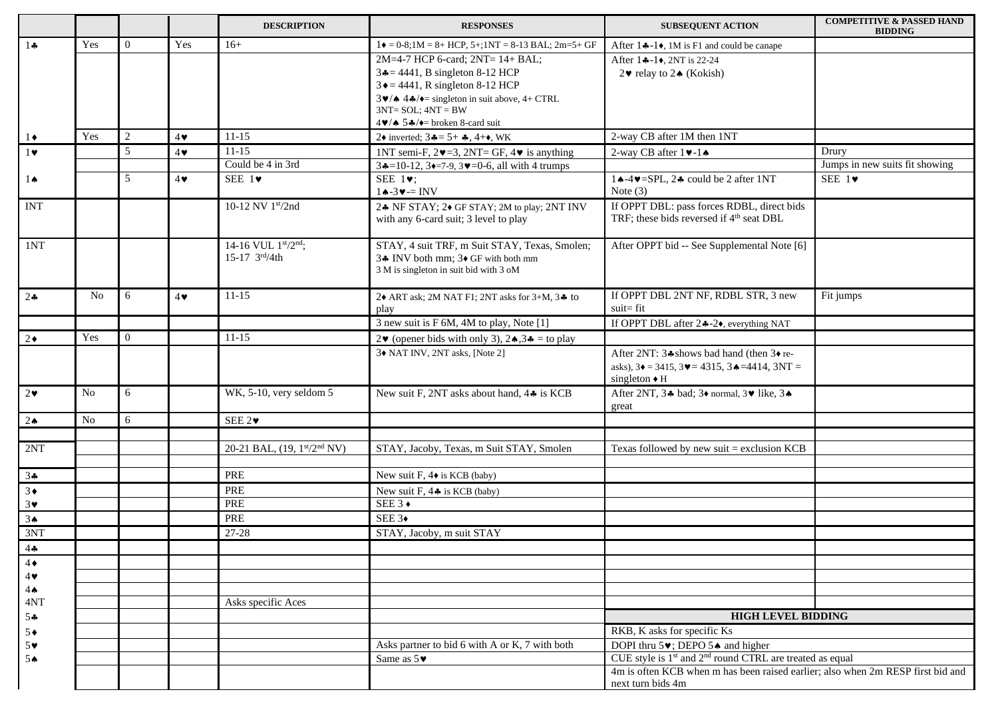|                                  |                |                |            | <b>DESCRIPTION</b>          | <b>RESPONSES</b>                                                                                                                            | <b>SUBSEQUENT ACTION</b>                                                                                                                                     | <b>COMPETITIVE &amp; PASSED HAND</b><br><b>BIDDING</b> |
|----------------------------------|----------------|----------------|------------|-----------------------------|---------------------------------------------------------------------------------------------------------------------------------------------|--------------------------------------------------------------------------------------------------------------------------------------------------------------|--------------------------------------------------------|
| 14                               | Yes            | $\overline{0}$ | Yes        | $16+$                       | $1\bullet$ = 0-8;1M = 8+ HCP, 5+;1NT = 8-13 BAL; 2m=5+ GF                                                                                   | After $1 \div -1 \div$ , 1M is F1 and could be canape                                                                                                        |                                                        |
|                                  |                |                |            |                             | 2M=4-7 HCP 6-card; 2NT= 14+ BAL;                                                                                                            | After 14-1, 2NT is 22-24                                                                                                                                     |                                                        |
|                                  |                |                |            |                             | $3 = 4441$ , B singleton 8-12 HCP                                                                                                           | 2♥ relay to 2▲ (Kokish)                                                                                                                                      |                                                        |
|                                  |                |                |            |                             | $3 \triangle = 4441$ , R singleton 8-12 HCP                                                                                                 |                                                                                                                                                              |                                                        |
|                                  |                |                |            |                             | $3\blacktriangleright/\blacktriangle$ 4 $\blacktriangle/\blacktriangleright$ = singleton in suit above, 4+ CTRL<br>$3NT = SOL$ ; $4NT = BW$ |                                                                                                                                                              |                                                        |
|                                  |                |                |            |                             | $4 \vee 5 \clubsuit / \diamond 5 \clubsuit$ broken 8-card suit                                                                              |                                                                                                                                                              |                                                        |
| $1\bullet$                       | Yes            | 2              | $4\bullet$ | $11 - 15$                   | 2• inverted; $3\clubsuit = 5 + \clubsuit$ , $4+\bullet$ , WK                                                                                | 2-way CB after 1M then 1NT                                                                                                                                   |                                                        |
| $1 \vee$                         |                | 5              | $4\bullet$ | $11 - 15$                   | 1NT semi-F, $2\blacktriangledown = 3$ , $2NT = GF$ , $4\blacktriangledown$ is anything                                                      | 2-way CB after $1 \blacktriangleright -1 \blacktriangle$                                                                                                     | Drury                                                  |
|                                  |                |                |            | Could be 4 in 3rd           | $3 \div 10 - 12$ , $3 \div 7 - 9$ , $3 \times 10 - 6$ , all with 4 trumps                                                                   |                                                                                                                                                              | Jumps in new suits fit showing                         |
| $1 \spadesuit$                   |                | 5              | $4\bullet$ | SEE $1\blacktriangledown$   | SEE $1\blacktriangledown$ ;                                                                                                                 | $1 \triangle -4 \triangleright =$ SPL, 2 $\triangle$ could be 2 after 1NT                                                                                    | SEE $1\blacktriangledown$                              |
|                                  |                |                |            |                             | $1 \triangle -3 \vee = INV$                                                                                                                 | Note $(3)$                                                                                                                                                   |                                                        |
| <b>INT</b>                       |                |                |            | 10-12 NV 1st/2nd            | 24 NF STAY; 24 GF STAY; 2M to play; 2NT INV                                                                                                 | If OPPT DBL: pass forces RDBL, direct bids                                                                                                                   |                                                        |
|                                  |                |                |            |                             | with any 6-card suit; 3 level to play                                                                                                       | TRF; these bids reversed if 4 <sup>th</sup> seat DBL                                                                                                         |                                                        |
|                                  |                |                |            |                             |                                                                                                                                             |                                                                                                                                                              |                                                        |
| 1NT                              |                |                |            | 14-16 VUL 1st/2nd;          | STAY, 4 suit TRF, m Suit STAY, Texas, Smolen;                                                                                               | After OPPT bid -- See Supplemental Note [6]                                                                                                                  |                                                        |
|                                  |                |                |            | 15-17 $3rd/4th$             | 34 INV both mm; 34 GF with both mm                                                                                                          |                                                                                                                                                              |                                                        |
|                                  |                |                |            |                             | 3 M is singleton in suit bid with 3 oM                                                                                                      |                                                                                                                                                              |                                                        |
| 24                               | N <sub>o</sub> | 6              | $4\bullet$ | $11 - 15$                   | 2 $\blacklozenge$ ART ask; 2M NAT F1; 2NT asks for 3+M, 3 $\blacklozenge$ to                                                                | If OPPT DBL 2NT NF, RDBL STR, 3 new                                                                                                                          | Fit jumps                                              |
|                                  |                |                |            |                             | play                                                                                                                                        | $suit = fit$                                                                                                                                                 |                                                        |
|                                  |                |                |            |                             | 3 new suit is F 6M, 4M to play, Note [1]                                                                                                    |                                                                                                                                                              |                                                        |
| $2\bullet$                       | Yes            | $\theta$       |            | $11 - 15$                   | 2♥ (opener bids with only 3), $2 \triangle 3 = \text{to play}$                                                                              |                                                                                                                                                              |                                                        |
|                                  |                |                |            |                             | 3+ NAT INV, 2NT asks, [Note 2]                                                                                                              | After 2NT: 34 shows bad hand (then 34 re-                                                                                                                    |                                                        |
|                                  |                |                |            |                             |                                                                                                                                             | asks), $3\bullet = 3415$ , $3\bullet = 4315$ , $3\bullet = 4414$ , $3NT =$                                                                                   |                                                        |
|                                  |                |                |            |                             |                                                                                                                                             | singleton $\bullet$ H                                                                                                                                        |                                                        |
| $2\bullet$                       | N <sub>o</sub> | 6              |            | WK, 5-10, very seldom 5     | New suit F, 2NT asks about hand, 44 is KCB                                                                                                  | After 2NT, 34 bad; 3♦ normal, 3♥ like, 3♦<br>great                                                                                                           |                                                        |
| $2 \spadesuit$                   | <b>No</b>      | 6              |            | SEE 2 $\triangledown$       |                                                                                                                                             |                                                                                                                                                              |                                                        |
|                                  |                |                |            |                             |                                                                                                                                             |                                                                                                                                                              |                                                        |
| 2NT                              |                |                |            | 20-21 BAL, (19, 1st/2nd NV) | STAY, Jacoby, Texas, m Suit STAY, Smolen                                                                                                    | Texas followed by new suit $=$ exclusion KCB                                                                                                                 |                                                        |
|                                  |                |                |            |                             |                                                                                                                                             |                                                                                                                                                              |                                                        |
| 34                               |                |                |            | PRE                         | New suit F, $4\blacklozenge$ is KCB (baby)                                                                                                  |                                                                                                                                                              |                                                        |
| $3\bullet$                       |                |                |            | PRE                         | New suit F, $4 \triangleq$ is KCB (baby)                                                                                                    |                                                                                                                                                              |                                                        |
| $3\vee$                          |                |                |            | PRE                         | SEE 3 $\triangleleft$                                                                                                                       |                                                                                                                                                              |                                                        |
| 3 <sub>•</sub>                   |                |                |            | PRE                         | SEE $3\bullet$                                                                                                                              |                                                                                                                                                              |                                                        |
| 3NT                              |                |                |            | $27 - 28$                   | STAY, Jacoby, m suit STAY                                                                                                                   |                                                                                                                                                              |                                                        |
| $\frac{4\clubsuit}{4\spadesuit}$ |                |                |            |                             |                                                                                                                                             |                                                                                                                                                              |                                                        |
|                                  |                |                |            |                             |                                                                                                                                             |                                                                                                                                                              |                                                        |
| 4                                |                |                |            |                             |                                                                                                                                             |                                                                                                                                                              |                                                        |
| $4 \spadesuit$                   |                |                |            |                             |                                                                                                                                             |                                                                                                                                                              |                                                        |
| 4NT                              |                |                |            | Asks specific Aces          |                                                                                                                                             |                                                                                                                                                              |                                                        |
| $5 -$                            |                |                |            |                             |                                                                                                                                             | <b>HIGH LEVEL BIDDING</b>                                                                                                                                    |                                                        |
| $5*$                             |                |                |            |                             |                                                                                                                                             | RKB, K asks for specific Ks                                                                                                                                  |                                                        |
| $5*$                             |                |                |            |                             | Asks partner to bid 6 with A or K, 7 with both                                                                                              | DOPI thru $5\blacktriangleright$ ; DEPO $5\blacktriangleleft$ and higher<br>CUE style is 1 <sup>st</sup> and 2 <sup>nd</sup> round CTRL are treated as equal |                                                        |
| 5A                               |                |                |            |                             | Same as $5\blacktriangledown$                                                                                                               | 4m is often KCB when m has been raised earlier; also when 2m RESP first bid and                                                                              |                                                        |
|                                  |                |                |            |                             |                                                                                                                                             | next turn bids 4m                                                                                                                                            |                                                        |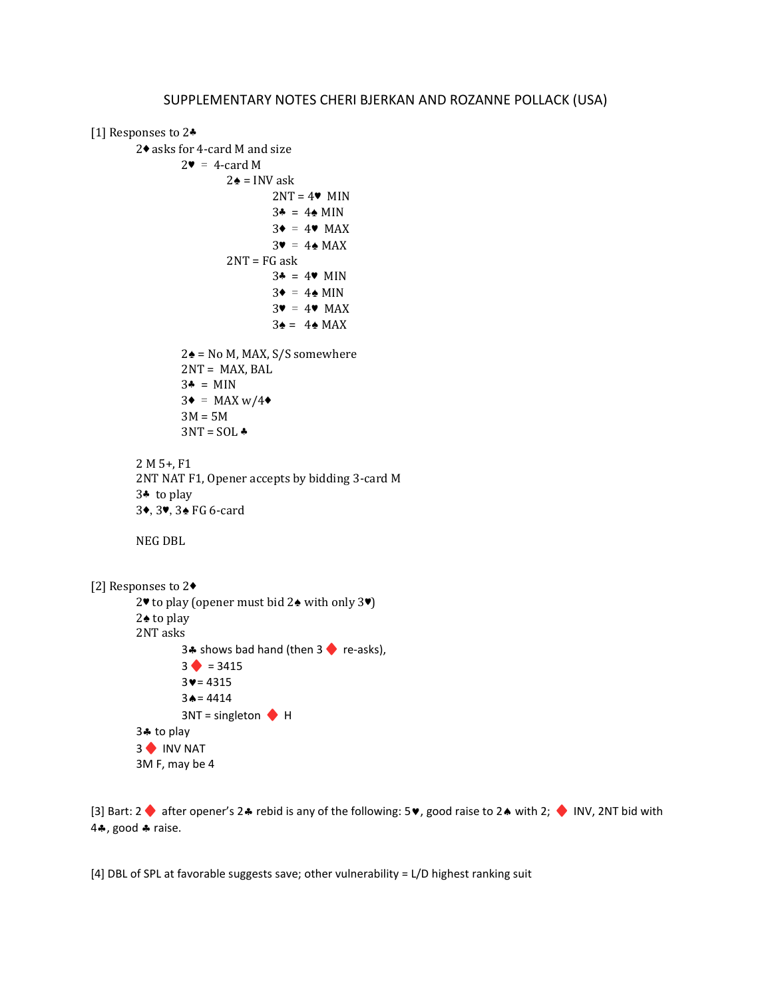```
[1] Responses to 2<sup>₺</sup>
         2♦ asks for 4-card M and size
                   2\bullet = 4-card M
                             2\spadesuit = INV ask
                                      2NT = 4 MIN
                                       3♣ = 4♠ MIN
                                       3\bullet = 4\bullet MAX
                                       3\bullet = 4\bullet \text{MAX}2NT = FG ask
                                      3* = 4* MIN
                                      3\bullet = 4\bullet MIN
                                      3\bullet = 4\bullet \text{ MAX}3\spadesuit = 4\spadesuit MAX
                   2\spadesuit = No M, MAX, S/S somewhere
                   2NT = MAX, BAL3* = MIN3\bullet = MAXw/4\bullet3M = 5M3NT = SOL2 M 5+, F1
         2NT NAT F1, Opener accepts by bidding 3-card M
         3♣ to play
         3♦,3♥,3♠ FG 6-card
         NEG DBL
[2] Responses to 2♦
         2♥ to play (opener must bid 2♠ with only 3♥) 
         2♠ to play
         2NT asks
                   3.4 shows bad hand (then 3 \blacklozenge re-asks),
                   3 \bullet = 34153 \vee = 43153 \triangle = 44143NT = singleton \blacklozenge H
         3. to play
         3 INV NAT
         3M F, may be 4
```
[3] Bart:  $2 \bullet$  after opener's  $2 \bullet$  rebid is any of the following:  $5 \bullet$ , good raise to  $2 \bullet$  with  $2$ ;  $\bullet$  INV, 2NT bid with 44, good  $\clubsuit$  raise.

[4] DBL of SPL at favorable suggests save; other vulnerability = L/D highest ranking suit